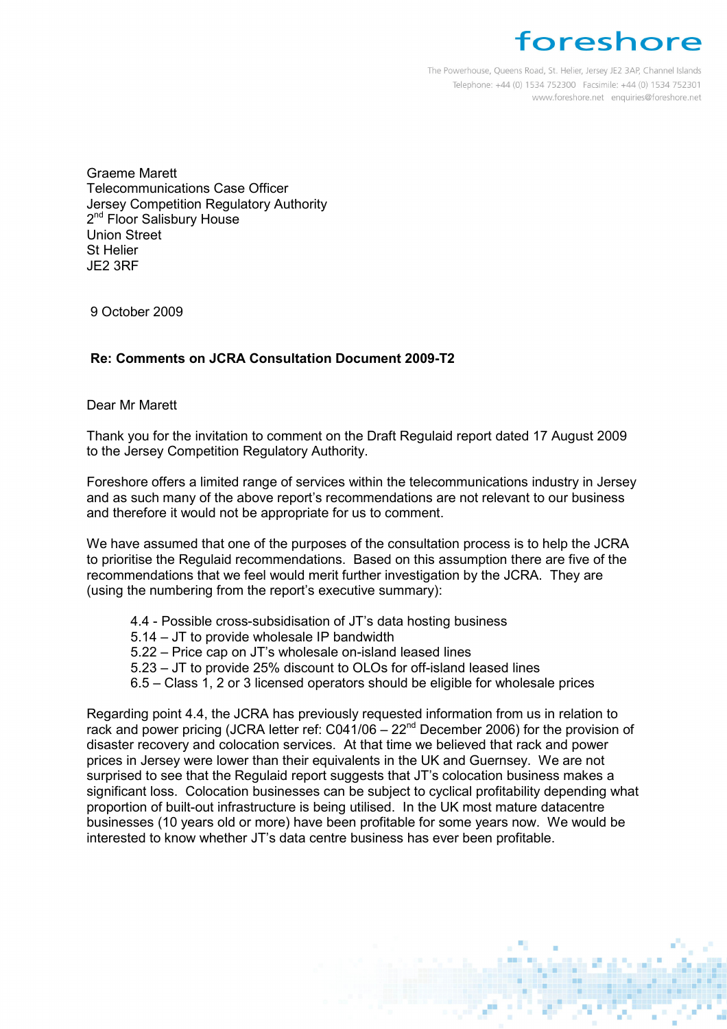## foreshore

The Powerhouse, Queens Road, St. Helier, Jersey JE2 3AP, Channel Islands Telephone: +44 (0) 1534 752300 Facsimile: +44 (0) 1534 752301 www.foreshore.net enquiries@foreshore.net

Graeme Marett Telecommunications Case Officer Jersey Competition Regulatory Authority 2<sup>nd</sup> Floor Salisbury House Union Street St Helier JE2 3RF

9 October 2009

## Re: Comments on JCRA Consultation Document 2009-T2

Dear Mr Marett

Thank you for the invitation to comment on the Draft Regulaid report dated 17 August 2009 to the Jersey Competition Regulatory Authority.

Foreshore offers a limited range of services within the telecommunications industry in Jersey and as such many of the above report's recommendations are not relevant to our business and therefore it would not be appropriate for us to comment.

We have assumed that one of the purposes of the consultation process is to help the JCRA to prioritise the Regulaid recommendations. Based on this assumption there are five of the recommendations that we feel would merit further investigation by the JCRA. They are (using the numbering from the report's executive summary):

- 4.4 Possible cross-subsidisation of JT's data hosting business
- 5.14 JT to provide wholesale IP bandwidth
- 5.22 Price cap on JT's wholesale on-island leased lines
- 5.23 JT to provide 25% discount to OLOs for off-island leased lines
- 6.5 Class 1, 2 or 3 licensed operators should be eligible for wholesale prices

Regarding point 4.4, the JCRA has previously requested information from us in relation to rack and power pricing (JCRA letter ref:  $C<sub>041/06</sub> - 22<sup>nd</sup>$  December 2006) for the provision of disaster recovery and colocation services. At that time we believed that rack and power prices in Jersey were lower than their equivalents in the UK and Guernsey. We are not surprised to see that the Regulaid report suggests that JT's colocation business makes a significant loss. Colocation businesses can be subject to cyclical profitability depending what proportion of built-out infrastructure is being utilised. In the UK most mature datacentre businesses (10 years old or more) have been profitable for some years now. We would be interested to know whether JT's data centre business has ever been profitable.